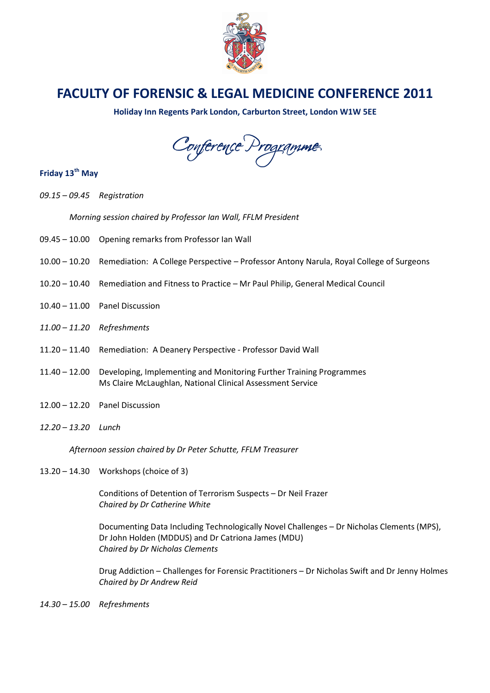

## FACULTY OF FORENSIC & LEGAL MEDICINE CONFERENCE 2011

Holiday Inn Regents Park London, Carburton Street, London W1W 5EE

Conference Programme

## Friday 13<sup>th</sup> May

09.15 – 09.45 Registration

Morning session chaired by Professor Ian Wall, FFLM President

- 09.45 10.00 Opening remarks from Professor Ian Wall
- 10.00 10.20 Remediation: A College Perspective Professor Antony Narula, Royal College of Surgeons
- 10.20 10.40 Remediation and Fitness to Practice Mr Paul Philip, General Medical Council
- 10.40 11.00 Panel Discussion
- 11.00 11.20 Refreshments
- 11.20 11.40 Remediation: A Deanery Perspective Professor David Wall
- 11.40 12.00 Developing, Implementing and Monitoring Further Training Programmes Ms Claire McLaughlan, National Clinical Assessment Service
- 12.00 12.20 Panel Discussion
- 12.20 13.20 Lunch

Afternoon session chaired by Dr Peter Schutte, FFLM Treasurer

13.20 – 14.30 Workshops (choice of 3)

Conditions of Detention of Terrorism Suspects – Dr Neil Frazer Chaired by Dr Catherine White

Documenting Data Including Technologically Novel Challenges – Dr Nicholas Clements (MPS), Dr John Holden (MDDUS) and Dr Catriona James (MDU) Chaired by Dr Nicholas Clements

Drug Addiction – Challenges for Forensic Practitioners – Dr Nicholas Swift and Dr Jenny Holmes Chaired by Dr Andrew Reid

14.30 – 15.00 Refreshments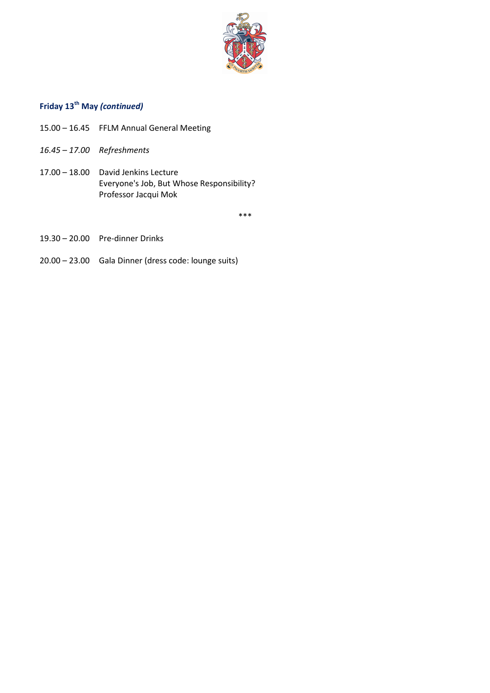

## Friday 13<sup>th</sup> May (continued)

- 15.00 16.45 FFLM Annual General Meeting
- 16.45 17.00 Refreshments
- 17.00 18.00 David Jenkins Lecture Everyone's Job, But Whose Responsibility? Professor Jacqui Mok

\*\*\*

- 19.30 20.00 Pre-dinner Drinks
- 20.00 23.00 Gala Dinner (dress code: lounge suits)